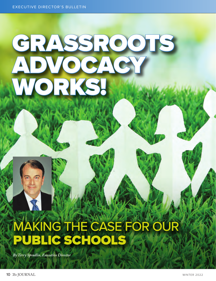# GRASSROOTS ADVOCACY WORKS!

# MAKING THE CASE FOR OUR PUBLIC SCHOOLS

*By Terry Spradlin, Executive Director*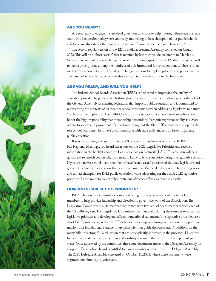#### ARE YOU READY?

Are you ready to engage in state-level grassroots advocacy to help inform, influence, and shape sound K-12 education policy? Are you ready and willing to be a champion of our public schools and to be an advocate for the more than 1 million Hoosier students in our classrooms?

The second regular session of the 122nd Indiana General Assembly convened on January 4, 2022. This will be a "short session" that is required by law to conclude no later than March 14. While there will not be a state budget to work on, it is anticipated that K-12 education policy will remain a priority issue among the hundreds of bills introduced for consideration. Lobbyists often use the "marathon not a sprint" analogy in budget sessions to implore patience and persistence by allies and advocates, but a condensed short session is a frenetic sprint to the finish line!

# ARE YOU READY, AND WILL YOU HELP?

The Indiana School Boards Association (ISBA) is dedicated to improving the quality of education provided by public schools throughout the state of Indiana. ISBA recognizes the role of the General Assembly in enacting legislation that impacts public education and is committed to representing the interests of its member school corporations when addressing legislative initiatives. You have a role to play, too. The ISBA Code of Ethics states that a school board member should honor the high responsibility that membership demands by "recognizing responsibility as a State official to seek the improvement of education throughout the State." This statement supports the role school board members have to communicate with state policymakers on issues impacting public education.

If you were among the approximately 800 people in attendance at one of the 10 ISBA Fall Regional Meetings, you heard the report on the 2022 Legislative Priorities and received information in the booklet about the Legislative Action Network (LAN). This column will be a quick read to refresh you on what you need to know to lend your voice during the legislative session. If you are a newer school board member or have been a casual observer of the state legislature and grassroots advocacy, please know that your voice matters. We need to be ready to be a strong voice and united champion for K-12 public education while advocating for the ISBA 2022 legislative priorities. Let us unite to collectively elevate our advocacy efforts, as much is at stake.

# HOW DOES ISBA SET ITS PRIORITIES?

ISBA relies on four committees comprised of regional representatives of our school board members to help provide leadership and direction to govern the work of the Association. The Legislative Committee is a 20-member committee with two school board members from each of the 10 ISBA regions. The Legislative Committee meets annually during the summer to set annual legislative priorities and develop and affirm foundational statements. The legislative priorities are a short list of proactive agenda items ISBA hopes to accomplish during each session to support our mission. The foundational statements are principles that guide the Association's positions on the many bills impacting K-12 education that are not explicitly addressed in the priorities. I liken the foundational statements to a compass and roadmap to ensure that we effectively represent your views. Once approved by the committee, these core documents move to the Delegate Assembly for adoption. Every school board is entitled to have a member represent it at the Delegate Assembly. The 2021 Delegate Assembly convened on October 11, 2021, where these documents were approved unanimously by voice vote.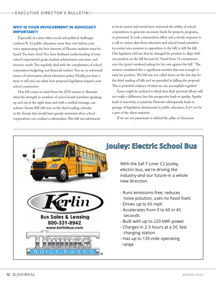# WHY IS YOUR INVOLVEMENT IN ADVOCACY IMPORTANT?

Especially at a time when social and political challenges confront K-12 public education more than ever before, your voice representing the best interests of Hoosier students must be heard. You have clout! You have firsthand understanding of your school corporation's goals, student achievement outcomes, and resource needs. You regularly deal with the complexities of school corporation budgeting and financial matters. You are an informed source of information about education policy. Finally, you have a story to tell and can relate how proposed legislation impacts your school community.

One bill comes to mind from the 2019 session to illustrate what the strength in numbers of school board members speaking up and out at the right time, and with a unified message, can achieve. Senate Bill 246 was on the third reading calendar in the Senate that would have greatly restricted when school corporations can conduct a referendum. This bill was adversarial

to local control and would have restricted the ability of school corporations to generate necessary funds for projects, programs, or personnel. It took a tremendous effort and a timely response to a call-to-action alert from educators and school board members to contact area senators in opposition to the bill, to kill the bill. One legislator told me that he changed his position to align with our position on the bill because he "heard from 12 constituents over the (prior) weekend asking for his vote against the bill." The senator considered this a significant number that was enough to sway his position. The bill was not called down on the last day for the third reading of bills and we prevailed in killing the proposal. This is powerful evidence of what we can accomplish together!

Some might be inclined to think that their personal efforts will not make a difference, but this perspective leads to apathy. Apathy leads to inactivity, or passivity. Passivity subsequently leads to passage of legislation detrimental to public education. Let's not be a part of the silent majority!

If we are not passionate to defend the pillar of American

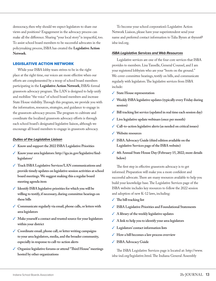democracy, then why should we expect legislators to share our views and positions? Engagement in the advocacy process can make all the difference. Sharing "your local story" is impactful, too. To assist school board members to be successful advocates in the policymaking process, ISBA has created the **Legislative Action Network**.

#### LEGISLATIVE ACTION NETWORK

While your ISBA lobby team strives to be in the right place at the right time, our voices are more effective when our efforts are complemented by a troop of school board members participating in the **Legislative Action Network**, ISBA's formal grassroots advocacy program. The LAN is designed to help unify and mobilize "the voice" of school board members and increase State House visibility. Through this program, we provide you with the information, resources, strategies, and guidance to engage in the grassroots advocacy process. The program to cultivate and coordinate the localized grassroots advocacy efforts is through each school board's designated legislative liaison, although we encourage all board members to engage in grassroots advocacy.

#### *Duties of the Legislative Liaison*

- ✓ **Know and support the 2022 ISBA Legislative Priorities**
- ✓ **Know your area legislators: http://iga.in.gov/legislative/findlegislators/**
- ✓ **Track ISBA Legislative Services/LAN communications and provide timely updates on legislative session activities at school board meetings. We suggest making this a regular board meeting agenda item**
- ✓ **Identify ISBA legislative priorities for which you will be willing to testify, if necessary, during committee hearings on these bills**
- ✓ **Communicate regularly via email, phone calls, or letters with area legislators**
- ✓ **Make yourself a contact and trusted source for your legislators within your district**
- ✓ **Coordinate email, phone call, or letter writing campaigns to your area legislators, media, and the broader community, especially in response to call-to-action alerts**
- ✓ **Organize legislative forums or attend "Third House" meetings hosted by other organizations**

To become your school corporation's Legislative Action Network Liaison, please have your superintendent send your name and preferred contact information to Talia Bynm at tbynm@ isba-ind.org.

#### *ISBA Legislative Services and Web Resources*

Legislative services are one of the four core services that ISBA provides to members. Lisa Tanselle, General Counsel, and I am your registered lobbyists who are your "boots on the ground." We cover committee hearings, testify on bills, and communicate regularly with legislators. The legislative services from ISBA include:

- ✓ **State House representation**
- ✓ **Weekly ISBA legislative updates (typically every Friday during session)**
- ✓ **Bill tracking list service (updated in real time each session day)**
- ✓ **Live legislative update webinars (once per month)**
- ✓ **Call-to-action legislative alerts (as needed on critical issues)**
- ✓ **Website resources**
- ✓ **ISBA Advocacy Guide (third edition available on the Legislative Services page of the ISBA website)**
- ✓ **4th Annual State House Day (February 15, 2022; more details below)**

The first step in effective grassroots advocacy is to get informed. Preparation will make you a more confident and successful advocate. There are many resources available to help you build your knowledge base. The Legislative Services page of the ISBA website includes key resources to follow the 2022 session and adoption of new K-12 laws, including:

- ✓ **The bill tracking list**
- ✓ **ISBA Legislative Priorities and Foundational Statements**
- ✓ **A library of the weekly legislative updates**
- ✓ **A link to help you to identify your area legislators**
- ✓ **Legislators' contact information lists**
- ✓ **How a bill becomes a law process overview**
- ✓ **ISBA Advocacy Guide**

The ISBA Legislative Services page is located at: http://www. isba-ind.org/legislative.html. The Indiana General Assembly